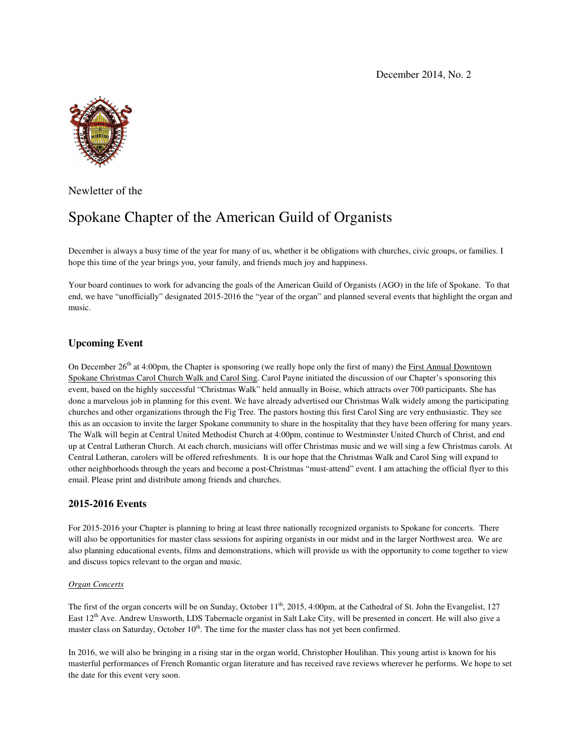December 2014, No. 2



Newletter of the

# Spokane Chapter of the American Guild of Organists

December is always a busy time of the year for many of us, whether it be obligations with churches, civic groups, or families. I hope this time of the year brings you, your family, and friends much joy and happiness.

Your board continues to work for advancing the goals of the American Guild of Organists (AGO) in the life of Spokane. To that end, we have "unofficially" designated 2015-2016 the "year of the organ" and planned several events that highlight the organ and music.

## **Upcoming Event**

On December  $26<sup>th</sup>$  at 4:00pm, the Chapter is sponsoring (we really hope only the first of many) the First Annual Downtown Spokane Christmas Carol Church Walk and Carol Sing. Carol Payne initiated the discussion of our Chapter's sponsoring this event, based on the highly successful "Christmas Walk" held annually in Boise, which attracts over 700 participants. She has done a marvelous job in planning for this event. We have already advertised our Christmas Walk widely among the participating churches and other organizations through the Fig Tree. The pastors hosting this first Carol Sing are very enthusiastic. They see this as an occasion to invite the larger Spokane community to share in the hospitality that they have been offering for many years. The Walk will begin at Central United Methodist Church at 4:00pm, continue to Westminster United Church of Christ, and end up at Central Lutheran Church. At each church, musicians will offer Christmas music and we will sing a few Christmas carols. At Central Lutheran, carolers will be offered refreshments. It is our hope that the Christmas Walk and Carol Sing will expand to other neighborhoods through the years and become a post-Christmas "must-attend" event. I am attaching the official flyer to this email. Please print and distribute among friends and churches.

### **2015-2016 Events**

For 2015-2016 your Chapter is planning to bring at least three nationally recognized organists to Spokane for concerts. There will also be opportunities for master class sessions for aspiring organists in our midst and in the larger Northwest area. We are also planning educational events, films and demonstrations, which will provide us with the opportunity to come together to view and discuss topics relevant to the organ and music.

#### *Organ Concerts*

The first of the organ concerts will be on Sunday, October 11<sup>th</sup>, 2015, 4:00pm, at the Cathedral of St. John the Evangelist, 127 East 12<sup>th</sup> Ave. Andrew Unsworth, LDS Tabernacle organist in Salt Lake City, will be presented in concert. He will also give a master class on Saturday, October  $10<sup>th</sup>$ . The time for the master class has not yet been confirmed.

In 2016, we will also be bringing in a rising star in the organ world, Christopher Houlihan. This young artist is known for his masterful performances of French Romantic organ literature and has received rave reviews wherever he performs. We hope to set the date for this event very soon.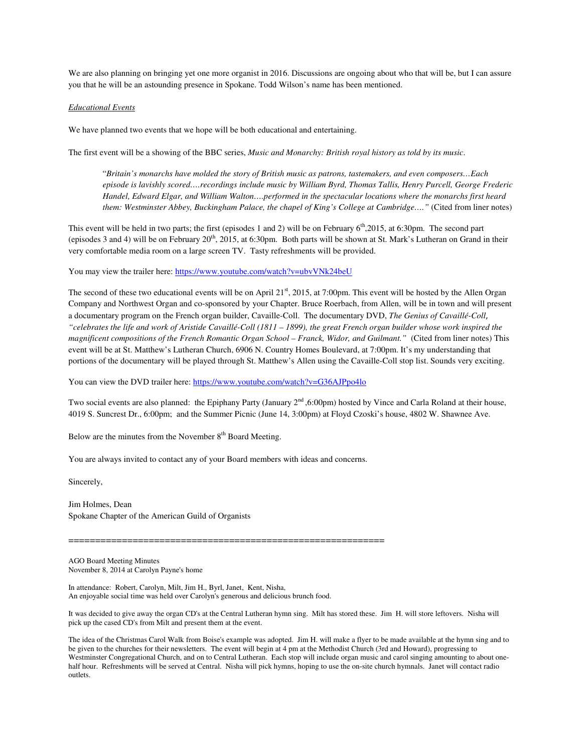We are also planning on bringing yet one more organist in 2016. Discussions are ongoing about who that will be, but I can assure you that he will be an astounding presence in Spokane. Todd Wilson's name has been mentioned.

#### *Educational Events*

We have planned two events that we hope will be both educational and entertaining.

The first event will be a showing of the BBC series, *Music and Monarchy: British royal history as told by its music*.

"*Britain's monarchs have molded the story of British music as patrons, tastemakers, and even composers…Each episode is lavishly scored….recordings include music by William Byrd, Thomas Tallis, Henry Purcell, George Frederic Handel, Edward Elgar, and William Walton….performed in the spectacular locations where the monarchs first heard them: Westminster Abbey, Buckingham Palace, the chapel of King's College at Cambridge…."* (Cited from liner notes)

This event will be held in two parts; the first (episodes 1 and 2) will be on February  $6<sup>th</sup>$ ,2015, at 6:30pm. The second part (episodes 3 and 4) will be on February  $20^{th}$ , 2015, at 6:30pm. Both parts will be shown at St. Mark's Lutheran on Grand in their very comfortable media room on a large screen TV. Tasty refreshments will be provided.

You may view the trailer here: https://www.youtube.com/watch?v=ubvVNk24beU

The second of these two educational events will be on April 21<sup>st</sup>, 2015, at 7:00pm. This event will be hosted by the Allen Organ Company and Northwest Organ and co-sponsored by your Chapter. Bruce Roerbach, from Allen, will be in town and will present a documentary program on the French organ builder, Cavaille-Coll. The documentary DVD, *The Genius of Cavaillé-Coll*, *"celebrates the life and work of Aristide Cavaillé-Coll (1811 – 1899), the great French organ builder whose work inspired the magnificent compositions of the French Romantic Organ School – Franck, Widor, and Guilmant."* (Cited from liner notes) This event will be at St. Matthew's Lutheran Church, 6906 N. Country Homes Boulevard, at 7:00pm. It's my understanding that portions of the documentary will be played through St. Matthew's Allen using the Cavaille-Coll stop list. Sounds very exciting.

You can view the DVD trailer here: https://www.youtube.com/watch?v=G36AJPpo4lo

Two social events are also planned: the Epiphany Party (January 2<sup>nd</sup> ,6:00pm) hosted by Vince and Carla Roland at their house, 4019 S. Suncrest Dr., 6:00pm; and the Summer Picnic (June 14, 3:00pm) at Floyd Czoski's house, 4802 W. Shawnee Ave.

Below are the minutes from the November  $8<sup>th</sup>$  Board Meeting.

You are always invited to contact any of your Board members with ideas and concerns.

Sincerely,

Jim Holmes, Dean Spokane Chapter of the American Guild of Organists

===========================================================

AGO Board Meeting Minutes November 8, 2014 at Carolyn Payne's home

In attendance: Robert, Carolyn, Milt, Jim H., Byrl, Janet, Kent, Nisha, An enjoyable social time was held over Carolyn's generous and delicious brunch food.

It was decided to give away the organ CD's at the Central Lutheran hymn sing. Milt has stored these. Jim H. will store leftovers. Nisha will pick up the cased CD's from Milt and present them at the event.

The idea of the Christmas Carol Walk from Boise's example was adopted. Jim H. will make a flyer to be made available at the hymn sing and to be given to the churches for their newsletters. The event will begin at 4 pm at the Methodist Church (3rd and Howard), progressing to Westminster Congregational Church, and on to Central Lutheran. Each stop will include organ music and carol singing amounting to about onehalf hour. Refreshments will be served at Central. Nisha will pick hymns, hoping to use the on-site church hymnals. Janet will contact radio outlets.